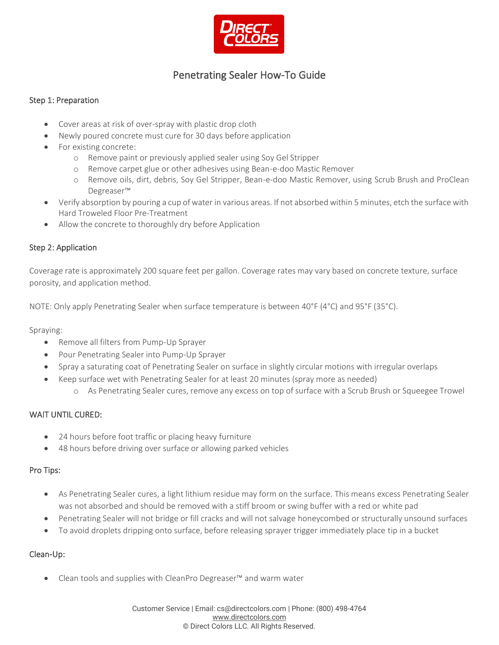

# Penetrating Sealer How-To Guide

#### Step 1: Preparation

- Cover areas at risk of over-spray with plastic drop cloth
- Newly poured concrete must cure for 30 days before application
- For existing concrete:
	- o Remove paint or previously applied sealer using Soy Gel Stripper
	- o Remove carpet glue or other adhesives using Bean-e-doo Mastic Remover
	- o Remove oils, dirt, debris, Soy Gel Stripper, Bean-e-doo Mastic Remover, using Scrub Brush and ProClean Degreaser™
- Verify absorption by pouring a cup of water in various areas. If not absorbed within 5 minutes, etch the surface with Hard Troweled Floor Pre-Treatment
- Allow the concrete to thoroughly dry before Application

#### Step 2: Application

Coverage rate is approximately 200 square feet per gallon. Coverage rates may vary based on concrete texture, surface porosity, and application method.

NOTE: Only apply Penetrating Sealer when surface temperature is between 40°F (4°C) and 95°F (35°C).

Spraying:

- Remove all filters from Pump-Up Sprayer
- Pour Penetrating Sealer into Pump-Up Sprayer
- Spray a saturating coat of Penetrating Sealer on surface in slightly circular motions with irregular overlaps
- Keep surface wet with Penetrating Sealer for at least 20 minutes (spray more as needed)
	- o As Penetrating Sealer cures, remove any excess on top of surface with a Scrub Brush or Squeegee Trowel

## WAIT UNTIL CURED:

- 24 hours before foot traffic or placing heavy furniture
- 48 hours before driving over surface or allowing parked vehicles

## Pro Tips:

- As Penetrating Sealer cures, a light lithium residue may form on the surface. This means excess Penetrating Sealer was not absorbed and should be removed with a stiff broom or swing buffer with a red or white pad
- Penetrating Sealer will not bridge or fill cracks and will not salvage honeycombed or structurally unsound surfaces
- To avoid droplets dripping onto surface, before releasing sprayer trigger immediately place tip in a bucket

## Clean-Up:

• Clean tools and supplies with CleanPro Degreaser™ and warm water